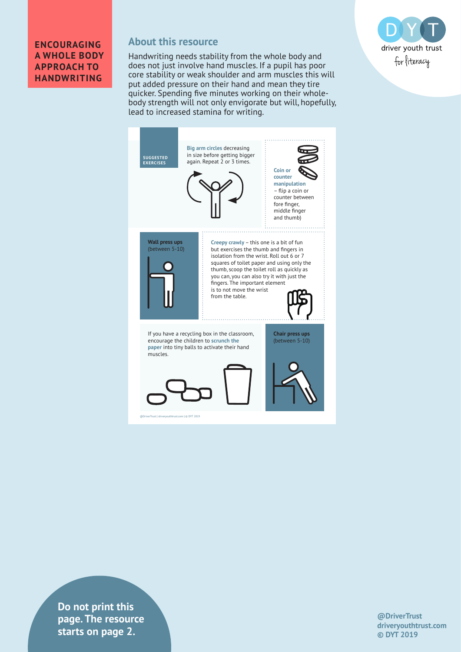#### **ENCOURAGING A WHOLE BODY APPROACH TO HANDWRITING**

### **About this resource**

Handwriting needs stability from the whole body and does not just involve hand muscles. If a pupil has poor core stability or weak shoulder and arm muscles this will put added pressure on their hand and mean they tire quicker. Spending five minutes working on their wholebody strength will not only envigorate but will, hopefully, lead to increased stamina for writing.



**Do not print this page. The resource starts on page 2.**

**@DriverTrust driveryouthtrust.com © DYT 2019**